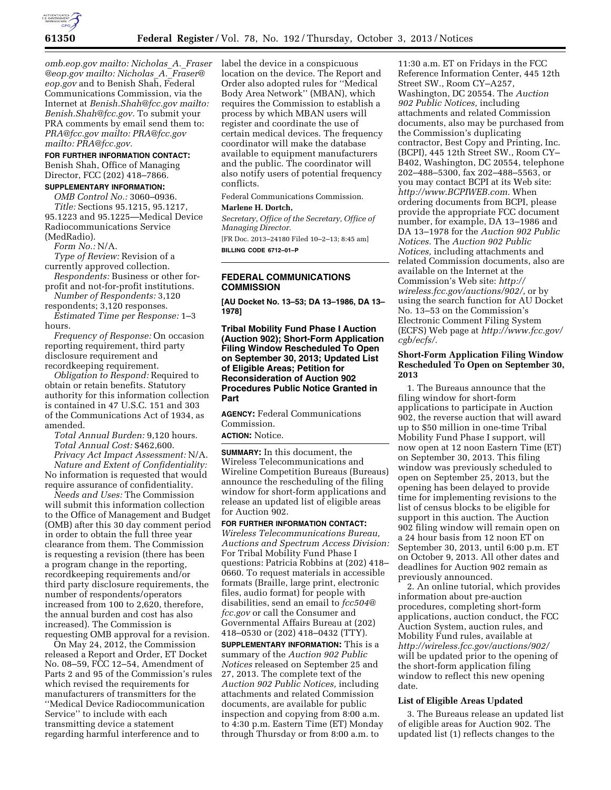

*[omb.eop.gov m](mailto:Nicholas_A._Fraser@omb.eop.gov)ailto: [Nicholas](mailto:Nicholas_A._Fraser@omb.eop.gov)*\_*A.*\_*Fraser [@eop.gov](mailto:Nicholas_A._Fraser@omb.eop.gov) mailto: [Nicholas](mailto:Nicholas_A._Fraser@omb.eop.gov)*\_*A.*\_*Fraser@ [eop.gov](mailto:Nicholas_A._Fraser@omb.eop.gov)* and to Benish Shah, Federal Communications Commission, via the Internet at *[Benish.Shah@fcc.gov m](mailto:Benish.Shah@fcc.gov)ailto: [Benish.Shah@fcc.gov.](mailto:Benish.Shah@fcc.gov)* To submit your PRA comments by email send them to: *[PRA@fcc.gov m](mailto:PRA@fcc.gov)ailto[: PRA@fcc.gov](mailto:PRA@fcc.gov)  mailto: [PRA@fcc.gov.](mailto:PRA@fcc.gov)* 

## **FOR FURTHER INFORMATION CONTACT:**

Benish Shah, Office of Managing Director, FCC (202) 418–7866.

# **SUPPLEMENTARY INFORMATION:**

*OMB Control No.:* 3060–0936. *Title:* Sections 95.1215, 95.1217, 95.1223 and 95.1225—Medical Device Radiocommunications Service (MedRadio).

*Form No.:* N/A.

*Type of Review:* Revision of a currently approved collection.

*Respondents:* Business or other forprofit and not-for-profit institutions.

*Number of Respondents:* 3,120 respondents; 3,120 responses.

*Estimated Time per Response:* 1–3 hours.

*Frequency of Response:* On occasion reporting requirement, third party disclosure requirement and recordkeeping requirement.

*Obligation to Respond:* Required to obtain or retain benefits. Statutory authority for this information collection is contained in 47 U.S.C. 151 and 303 of the Communications Act of 1934, as amended.

*Total Annual Burden:* 9,120 hours. *Total Annual Cost:* \$462,600.

*Privacy Act Impact Assessment:* N/A. *Nature and Extent of Confidentiality:*  No information is requested that would require assurance of confidentiality.

*Needs and Uses:* The Commission will submit this information collection to the Office of Management and Budget (OMB) after this 30 day comment period in order to obtain the full three year clearance from them. The Commission is requesting a revision (there has been a program change in the reporting, recordkeeping requirements and/or third party disclosure requirements, the number of respondents/operators increased from 100 to 2,620, therefore, the annual burden and cost has also increased). The Commission is requesting OMB approval for a revision.

On May 24, 2012, the Commission released a Report and Order, ET Docket No. 08–59, FCC 12–54, Amendment of Parts 2 and 95 of the Commission's rules which revised the requirements for manufacturers of transmitters for the ''Medical Device Radiocommunication Service'' to include with each transmitting device a statement regarding harmful interference and to

label the device in a conspicuous location on the device. The Report and Order also adopted rules for ''Medical Body Area Network'' (MBAN), which requires the Commission to establish a process by which MBAN users will register and coordinate the use of certain medical devices. The frequency coordinator will make the database available to equipment manufacturers and the public. The coordinator will also notify users of potential frequency conflicts.

Federal Communications Commission. **Marlene H. Dortch,** 

*Secretary, Office of the Secretary, Office of Managing Director.* 

[FR Doc. 2013–24180 Filed 10–2–13; 8:45 am] **BILLING CODE 6712–01–P** 

# **FEDERAL COMMUNICATIONS COMMISSION**

**[AU Docket No. 13–53; DA 13–1986, DA 13– 1978]** 

**Tribal Mobility Fund Phase I Auction (Auction 902); Short-Form Application Filing Window Rescheduled To Open on September 30, 2013; Updated List of Eligible Areas; Petition for Reconsideration of Auction 902 Procedures Public Notice Granted in Part** 

**AGENCY:** Federal Communications Commission.

# **ACTION:** Notice.

**SUMMARY:** In this document, the Wireless Telecommunications and Wireline Competition Bureaus (Bureaus) announce the rescheduling of the filing window for short-form applications and release an updated list of eligible areas for Auction 902.

**FOR FURTHER INFORMATION CONTACT:**  *Wireless Telecommunications Bureau, Auctions and Spectrum Access Division:*  For Tribal Mobility Fund Phase I questions: Patricia Robbins at (202) 418– 0660. To request materials in accessible formats (Braille, large print, electronic files, audio format) for people with disabilities, send an email to *[fcc504@](mailto:fcc504@fcc.gov) [fcc.gov](mailto:fcc504@fcc.gov)* or call the Consumer and Governmental Affairs Bureau at (202) 418–0530 or (202) 418–0432 (TTY).

**SUPPLEMENTARY INFORMATION:** This is a summary of the *Auction 902 Public Notices* released on September 25 and 27, 2013. The complete text of the *Auction 902 Public Notices,* including attachments and related Commission documents, are available for public inspection and copying from 8:00 a.m. to 4:30 p.m. Eastern Time (ET) Monday through Thursday or from 8:00 a.m. to

11:30 a.m. ET on Fridays in the FCC Reference Information Center, 445 12th Street SW., Room CY–A257, Washington, DC 20554. The *Auction 902 Public Notices,* including attachments and related Commission documents, also may be purchased from the Commission's duplicating contractor, Best Copy and Printing, Inc. (BCPI), 445 12th Street SW., Room CY– B402, Washington, DC 20554, telephone 202–488–5300, fax 202–488–5563, or you may contact BCPI at its Web site: *[http://www.BCPIWEB.com.](http://www.BCPIWEB.com)* When ordering documents from BCPI, please provide the appropriate FCC document number, for example, DA 13–1986 and DA 13–1978 for the *Auction 902 Public Notices.* The *Auction 902 Public Notices,* including attachments and related Commission documents, also are available on the Internet at the Commission's Web site: *[http://](http://wireless.fcc.gov/auctions/902/) [wireless.fcc.gov/auctions/902/,](http://wireless.fcc.gov/auctions/902/)* or by using the search function for AU Docket No. 13–53 on the Commission's Electronic Comment Filing System (ECFS) Web page at *[http://www.fcc.gov/](http://www.fcc.gov/cgb/ecfs/) [cgb/ecfs/.](http://www.fcc.gov/cgb/ecfs/)* 

#### **Short-Form Application Filing Window Rescheduled To Open on September 30, 2013**

1. The Bureaus announce that the filing window for short-form applications to participate in Auction 902, the reverse auction that will award up to \$50 million in one-time Tribal Mobility Fund Phase I support, will now open at 12 noon Eastern Time (ET) on September 30, 2013. This filing window was previously scheduled to open on September 25, 2013, but the opening has been delayed to provide time for implementing revisions to the list of census blocks to be eligible for support in this auction. The Auction 902 filing window will remain open on a 24 hour basis from 12 noon ET on September 30, 2013, until 6:00 p.m. ET on October 9, 2013. All other dates and deadlines for Auction 902 remain as previously announced.

2. An online tutorial, which provides information about pre-auction procedures, completing short-form applications, auction conduct, the FCC Auction System, auction rules, and Mobility Fund rules, available at *<http://wireless.fcc.gov/auctions/902/>* will be updated prior to the opening of the short-form application filing window to reflect this new opening date.

#### **List of Eligible Areas Updated**

3. The Bureaus release an updated list of eligible areas for Auction 902. The updated list (1) reflects changes to the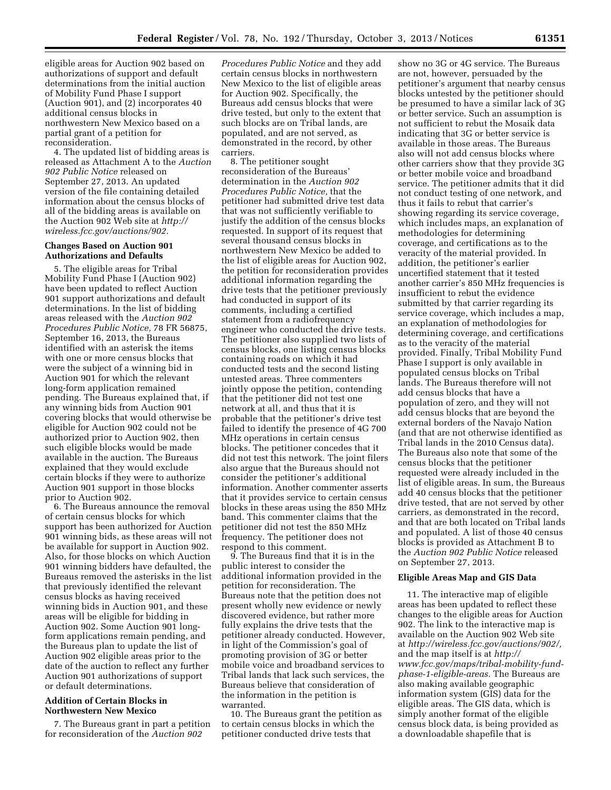eligible areas for Auction 902 based on authorizations of support and default determinations from the initial auction of Mobility Fund Phase I support (Auction 901), and (2) incorporates 40 additional census blocks in northwestern New Mexico based on a partial grant of a petition for reconsideration.

4. The updated list of bidding areas is released as Attachment A to the *Auction 902 Public Notice* released on September 27, 2013. An updated version of the file containing detailed information about the census blocks of all of the bidding areas is available on the Auction 902 Web site at *[http://](http://wireless.fcc.gov/auctions/902) [wireless.fcc.gov/auctions/902.](http://wireless.fcc.gov/auctions/902)* 

#### **Changes Based on Auction 901 Authorizations and Defaults**

5. The eligible areas for Tribal Mobility Fund Phase I (Auction 902) have been updated to reflect Auction 901 support authorizations and default determinations. In the list of bidding areas released with the *Auction 902 Procedures Public Notice,* 78 FR 56875, September 16, 2013, the Bureaus identified with an asterisk the items with one or more census blocks that were the subject of a winning bid in Auction 901 for which the relevant long-form application remained pending. The Bureaus explained that, if any winning bids from Auction 901 covering blocks that would otherwise be eligible for Auction 902 could not be authorized prior to Auction 902, then such eligible blocks would be made available in the auction. The Bureaus explained that they would exclude certain blocks if they were to authorize Auction 901 support in those blocks prior to Auction 902.

6. The Bureaus announce the removal of certain census blocks for which support has been authorized for Auction 901 winning bids, as these areas will not be available for support in Auction 902. Also, for those blocks on which Auction 901 winning bidders have defaulted, the Bureaus removed the asterisks in the list that previously identified the relevant census blocks as having received winning bids in Auction 901, and these areas will be eligible for bidding in Auction 902. Some Auction 901 longform applications remain pending, and the Bureaus plan to update the list of Auction 902 eligible areas prior to the date of the auction to reflect any further Auction 901 authorizations of support or default determinations.

## **Addition of Certain Blocks in Northwestern New Mexico**

7. The Bureaus grant in part a petition for reconsideration of the *Auction 902* 

*Procedures Public Notice* and they add certain census blocks in northwestern New Mexico to the list of eligible areas for Auction 902. Specifically, the Bureaus add census blocks that were drive tested, but only to the extent that such blocks are on Tribal lands, are populated, and are not served, as demonstrated in the record, by other carriers.

8. The petitioner sought reconsideration of the Bureaus' determination in the *Auction 902 Procedures Public Notice,* that the petitioner had submitted drive test data that was not sufficiently verifiable to justify the addition of the census blocks requested. In support of its request that several thousand census blocks in northwestern New Mexico be added to the list of eligible areas for Auction 902, the petition for reconsideration provides additional information regarding the drive tests that the petitioner previously had conducted in support of its comments, including a certified statement from a radiofrequency engineer who conducted the drive tests. The petitioner also supplied two lists of census blocks, one listing census blocks containing roads on which it had conducted tests and the second listing untested areas. Three commenters jointly oppose the petition, contending that the petitioner did not test one network at all, and thus that it is probable that the petitioner's drive test failed to identify the presence of 4G 700 MHz operations in certain census blocks. The petitioner concedes that it did not test this network. The joint filers also argue that the Bureaus should not consider the petitioner's additional information. Another commenter asserts that it provides service to certain census blocks in these areas using the 850 MHz band. This commenter claims that the petitioner did not test the 850 MHz frequency. The petitioner does not respond to this comment.

9. The Bureaus find that it is in the public interest to consider the additional information provided in the petition for reconsideration. The Bureaus note that the petition does not present wholly new evidence or newly discovered evidence, but rather more fully explains the drive tests that the petitioner already conducted. However, in light of the Commission's goal of promoting provision of 3G or better mobile voice and broadband services to Tribal lands that lack such services, the Bureaus believe that consideration of the information in the petition is warranted.

10. The Bureaus grant the petition as to certain census blocks in which the petitioner conducted drive tests that

show no 3G or 4G service. The Bureaus are not, however, persuaded by the petitioner's argument that nearby census blocks untested by the petitioner should be presumed to have a similar lack of 3G or better service. Such an assumption is not sufficient to rebut the Mosaik data indicating that 3G or better service is available in those areas. The Bureaus also will not add census blocks where other carriers show that they provide 3G or better mobile voice and broadband service. The petitioner admits that it did not conduct testing of one network, and thus it fails to rebut that carrier's showing regarding its service coverage, which includes maps, an explanation of methodologies for determining coverage, and certifications as to the veracity of the material provided. In addition, the petitioner's earlier uncertified statement that it tested another carrier's 850 MHz frequencies is insufficient to rebut the evidence submitted by that carrier regarding its service coverage, which includes a map, an explanation of methodologies for determining coverage, and certifications as to the veracity of the material provided. Finally, Tribal Mobility Fund Phase I support is only available in populated census blocks on Tribal lands. The Bureaus therefore will not add census blocks that have a population of zero, and they will not add census blocks that are beyond the external borders of the Navajo Nation (and that are not otherwise identified as Tribal lands in the 2010 Census data). The Bureaus also note that some of the census blocks that the petitioner requested were already included in the list of eligible areas. In sum, the Bureaus add 40 census blocks that the petitioner drive tested, that are not served by other carriers, as demonstrated in the record, and that are both located on Tribal lands and populated. A list of those 40 census blocks is provided as Attachment B to the *Auction 902 Public Notice* released on September 27, 2013.

#### **Eligible Areas Map and GIS Data**

11. The interactive map of eligible areas has been updated to reflect these changes to the eligible areas for Auction 902. The link to the interactive map is available on the Auction 902 Web site at *[http://wireless.fcc.gov/auctions/902/,](http://wireless.fcc.gov/auctions/902/)*  and the map itself is at *[http://](http://www.fcc.gov/maps/tribal-mobility-fund-phase-1-eligible-areas) [www.fcc.gov/maps/tribal-mobility-fund](http://www.fcc.gov/maps/tribal-mobility-fund-phase-1-eligible-areas)[phase-1-eligible-areas.](http://www.fcc.gov/maps/tribal-mobility-fund-phase-1-eligible-areas)* The Bureaus are also making available geographic information system (GIS) data for the eligible areas. The GIS data, which is simply another format of the eligible census block data, is being provided as a downloadable shapefile that is